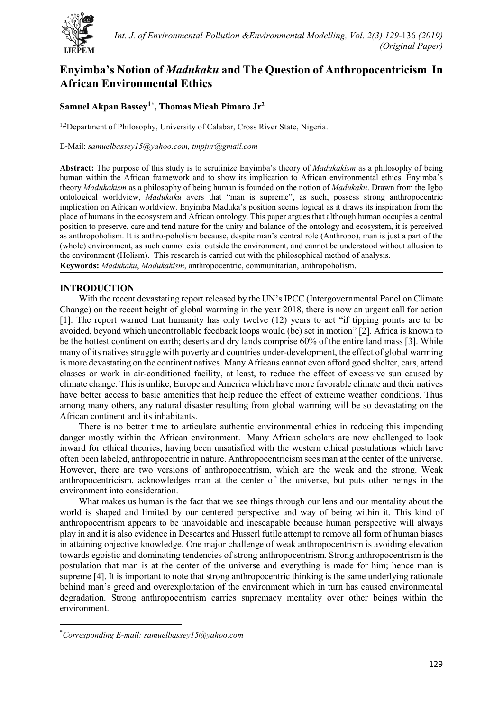

# **Enyimba's Notion of** *Madukaku* **and The Question of Anthropocentricism In African Environmental Ethics**

# **Samuel Akpan Bassey1[\\*](#page-0-0) , Thomas Micah Pimaro Jr2**

<sup>1,2</sup>Department of Philosophy, University of Calabar, Cross River State, Nigeria.

E-Mail: *[samuelbassey15@yahoo.com,](mailto:samuelbassey15@yahoo.com) tmpjnr@gmail.com*

**Abstract:** The purpose of this study is to scrutinize Enyimba's theory of *Madukakism* as a philosophy of being human within the African framework and to show its implication to African environmental ethics. Enyimba's theory *Madukakism* as a philosophy of being human is founded on the notion of *Madukaku*. Drawn from the Igbo ontological worldview, *Madukaku* avers that "man is supreme", as such, possess strong anthropocentric implication on African worldview. Enyimba Maduka's position seems logical as it draws its inspiration from the place of humans in the ecosystem and African ontology. This paper argues that although human occupies a central position to preserve, care and tend nature for the unity and balance of the ontology and ecosystem, it is perceived as anthropoholism. It is anthro-poholism because, despite man's central role (Anthropo), man is just a part of the (whole) environment, as such cannot exist outside the environment, and cannot be understood without allusion to the environment (Holism). This research is carried out with the philosophical method of analysis. **Keywords:** *Madukaku*, *Madukakism*, anthropocentric, communitarian, anthropoholism.

# **INTRODUCTION**

With the recent devastating report released by the UN's IPCC (Intergovernmental Panel on Climate Change) on the recent height of global warming in the year 2018, there is now an urgent call for action [1]. The report warned that humanity has only twelve (12) years to act "if tipping points are to be avoided, beyond which uncontrollable feedback loops would (be) set in motion" [2]. Africa is known to be the hottest continent on earth; deserts and dry lands comprise 60% of the entire land mass [3]. While many of its natives struggle with poverty and countries under-development, the effect of global warming is more devastating on the continent natives. Many Africans cannot even afford good shelter, cars, attend classes or work in air-conditioned facility, at least, to reduce the effect of excessive sun caused by climate change. This is unlike, Europe and America which have more favorable climate and their natives have better access to basic amenities that help reduce the effect of extreme weather conditions. Thus among many others, any natural disaster resulting from global warming will be so devastating on the African continent and its inhabitants.

There is no better time to articulate authentic environmental ethics in reducing this impending danger mostly within the African environment. Many African scholars are now challenged to look inward for ethical theories, having been unsatisfied with the western ethical postulations which have often been labeled, anthropocentric in nature. Anthropocentricism sees man at the center of the universe. However, there are two versions of anthropocentrism, which are the weak and the strong. Weak anthropocentricism, acknowledges man at the center of the universe, but puts other beings in the environment into consideration.

What makes us human is the fact that we see things through our lens and our mentality about the world is shaped and limited by our centered perspective and way of being within it. This kind of anthropocentrism appears to be unavoidable and inescapable because human perspective will always play in and it is also evidence in Descartes and Husserl futile attempt to remove all form of human biases in attaining objective knowledge. One major challenge of weak anthropocentrism is avoiding elevation towards egoistic and dominating tendencies of strong anthropocentrism. Strong anthropocentrism is the postulation that man is at the center of the universe and everything is made for him; hence man is supreme [4]. It is important to note that strong anthropocentric thinking is the same underlying rationale behind man's greed and overexploitation of the environment which in turn has caused environmental degradation. Strong anthropocentrism carries supremacy mentality over other beings within the environment.

<span id="page-0-0"></span><sup>\*</sup> *Corresponding E-mail: samuelbassey15@yahoo.com*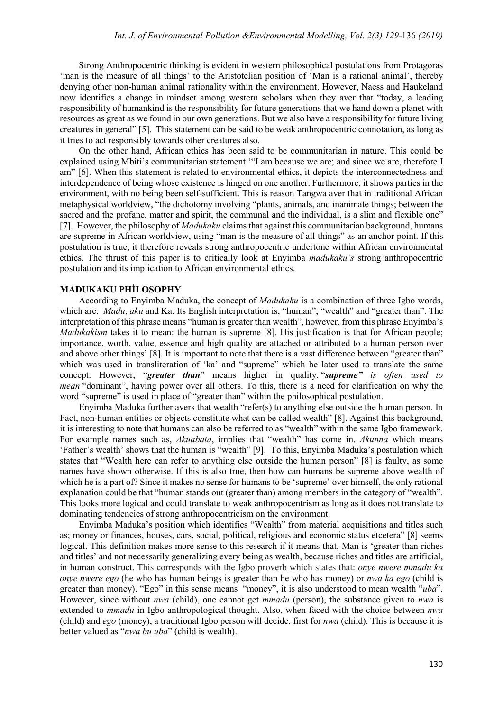Strong Anthropocentric thinking is evident in western philosophical postulations from Protagoras 'man is the measure of all things' to the Aristotelian position of 'Man is a rational animal', thereby denying other non-human animal rationality within the environment. However, Naess and Haukeland now identifies a change in mindset among western scholars when they aver that "today, a leading responsibility of humankind is the responsibility for future generations that we hand down a planet with resources as great as we found in our own generations. But we also have a responsibility for future living creatures in general" [5]. This statement can be said to be weak anthropocentric connotation, as long as it tries to act responsibly towards other creatures also.

On the other hand, African ethics has been said to be communitarian in nature. This could be explained using Mbiti's communitarian statement '"I am because we are; and since we are, therefore I am" [6]. When this statement is related to environmental ethics, it depicts the interconnectedness and interdependence of being whose existence is hinged on one another. Furthermore, it shows parties in the environment, with no being been self-sufficient. This is reason Tangwa aver that in traditional African metaphysical worldview, "the dichotomy involving "plants, animals, and inanimate things; between the sacred and the profane, matter and spirit, the communal and the individual, is a slim and flexible one" [7]. However, the philosophy of *Madukaku* claims that against this communitarian background, humans are supreme in African worldview, using "man is the measure of all things" as an anchor point. If this postulation is true, it therefore reveals strong anthropocentric undertone within African environmental ethics. The thrust of this paper is to critically look at Enyimba *madukaku's* strong anthropocentric postulation and its implication to African environmental ethics.

#### **MADUKAKU PHİLOSOPHY**

According to Enyimba Maduka, the concept of *Madukaku* is a combination of three Igbo words, which are: *Madu*, *aku* and Ka. Its English interpretation is; "human", "wealth" and "greater than". The interpretation of this phrase means "human is greater than wealth", however, from this phrase Enyimba's *Madukakism* takes it to mean: the human is supreme [8]. His justification is that for African people; importance, worth, value, essence and high quality are attached or attributed to a human person over and above other things' [8]. It is important to note that there is a vast difference between "greater than" which was used in transliteration of 'ka' and "supreme" which he later used to translate the same concept. However, "*greater than*" means higher in quality, "*supreme" is often used to mean* "dominant", having power over all others. To this, there is a need for clarification on why the word "supreme" is used in place of "greater than" within the philosophical postulation.

Enyimba Maduka further avers that wealth "refer(s) to anything else outside the human person. In Fact, non-human entities or objects constitute what can be called wealth" [8]. Against this background, it is interesting to note that humans can also be referred to as "wealth" within the same Igbo framework. For example names such as, *Akuabata*, implies that "wealth" has come in. *Akunna* which means 'Father's wealth' shows that the human is "wealth" [9]. To this, Enyimba Maduka's postulation which states that "Wealth here can refer to anything else outside the human person" [8] is faulty, as some names have shown otherwise. If this is also true, then how can humans be supreme above wealth of which he is a part of? Since it makes no sense for humans to be 'supreme' over himself, the only rational explanation could be that "human stands out (greater than) among members in the category of "wealth". This looks more logical and could translate to weak anthropocentrism as long as it does not translate to dominating tendencies of strong anthropocentricism on the environment.

Enyimba Maduka's position which identifies "Wealth" from material acquisitions and titles such as; money or finances, houses, cars, social, political, religious and economic status etcetera" [8] seems logical. This definition makes more sense to this research if it means that, Man is 'greater than riches and titles' and not necessarily generalizing every being as wealth, because riches and titles are artificial, in human construct. This corresponds with the Igbo proverb which states that: *onye nwere mmadu ka onye nwere ego* (he who has human beings is greater than he who has money) or *nwa ka ego* (child is greater than money). "Ego" in this sense means "money", it is also understood to mean wealth "*uba*". However, since without *nwa* (child), one cannot get *mmadu* (person), the substance given to *nwa* is extended to *mmadu* in Igbo anthropological thought. Also, when faced with the choice between *nwa* (child) and *ego* (money), a traditional Igbo person will decide, first for *nwa* (child). This is because it is better valued as "*nwa bu uba*" (child is wealth).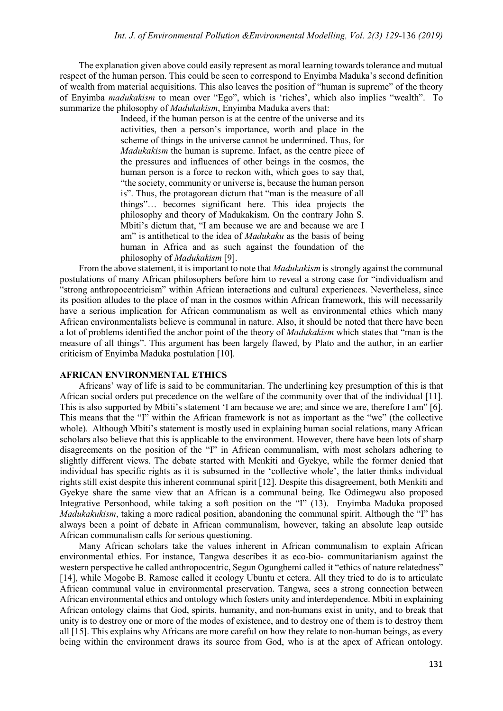The explanation given above could easily represent as moral learning towards tolerance and mutual respect of the human person. This could be seen to correspond to Enyimba Maduka's second definition of wealth from material acquisitions. This also leaves the position of "human is supreme" of the theory of Enyimba *madukakism* to mean over "Ego", which is 'riches', which also implies "wealth". To summarize the philosophy of *Madukakism*, Enyimba Maduka avers that:

> Indeed, if the human person is at the centre of the universe and its activities, then a person's importance, worth and place in the scheme of things in the universe cannot be undermined. Thus, for *Madukakism* the human is supreme. Infact, as the centre piece of the pressures and influences of other beings in the cosmos, the human person is a force to reckon with, which goes to say that, "the society, community or universe is, because the human person is". Thus, the protagorean dictum that "man is the measure of all things"… becomes significant here. This idea projects the philosophy and theory of Madukakism. On the contrary John S. Mbiti's dictum that, "I am because we are and because we are I am" is antithetical to the idea of *Madukaku* as the basis of being human in Africa and as such against the foundation of the philosophy of *Madukakism* [9].

From the above statement, it is important to note that *Madukakism* is strongly against the communal postulations of many African philosophers before him to reveal a strong case for "individualism and "strong anthropocentricism" within African interactions and cultural experiences. Nevertheless, since its position alludes to the place of man in the cosmos within African framework, this will necessarily have a serious implication for African communalism as well as environmental ethics which many African environmentalists believe is communal in nature. Also, it should be noted that there have been a lot of problems identified the anchor point of the theory of *Madukakism* which states that "man is the measure of all things". This argument has been largely flawed, by Plato and the author, in an earlier criticism of Enyimba Maduka postulation [10].

#### **AFRICAN ENVIRONMENTAL ETHICS**

Africans' way of life is said to be communitarian. The underlining key presumption of this is that African social orders put precedence on the welfare of the community over that of the individual [11]. This is also supported by Mbiti's statement 'I am because we are; and since we are, therefore I am" [6]. This means that the "I" within the African framework is not as important as the "we" (the collective whole). Although Mbiti's statement is mostly used in explaining human social relations, many African scholars also believe that this is applicable to the environment. However, there have been lots of sharp disagreements on the position of the "I" in African communalism, with most scholars adhering to slightly different views. The debate started with Menkiti and Gyekye, while the former denied that individual has specific rights as it is subsumed in the 'collective whole', the latter thinks individual rights still exist despite this inherent communal spirit [12]. Despite this disagreement, both Menkiti and Gyekye share the same view that an African is a communal being. Ike Odimegwu also proposed Integrative Personhood, while taking a soft position on the "I" (13). Enyimba Maduka proposed *Madukakukism*, taking a more radical position, abandoning the communal spirit. Although the "I" has always been a point of debate in African communalism, however, taking an absolute leap outside African communalism calls for serious questioning.

Many African scholars take the values inherent in African communalism to explain African environmental ethics. For instance, Tangwa describes it as eco-bio- communitarianism against the western perspective he called anthropocentric, Segun Ogungbemi called it "ethics of nature relatedness" [14], while Mogobe B. Ramose called it ecology Ubuntu et cetera. All they tried to do is to articulate African communal value in environmental preservation. Tangwa, sees a strong connection between African environmental ethics and ontology which fosters unity and interdependence. Mbiti in explaining African ontology claims that God, spirits, humanity, and non-humans exist in unity, and to break that unity is to destroy one or more of the modes of existence, and to destroy one of them is to destroy them all [15]. This explains why Africans are more careful on how they relate to non-human beings, as every being within the environment draws its source from God, who is at the apex of African ontology.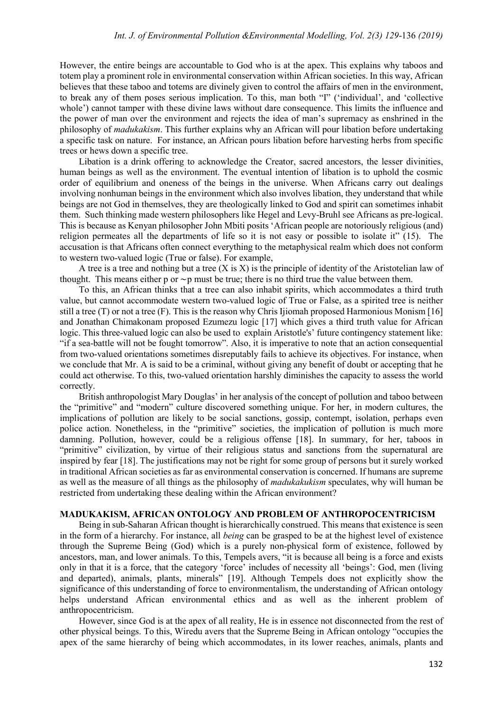However, the entire beings are accountable to God who is at the apex. This explains why taboos and totem play a prominent role in environmental conservation within African societies. In this way, African believes that these taboo and totems are divinely given to control the affairs of men in the environment, to break any of them poses serious implication. To this, man both "I" ('individual', and 'collective whole') cannot tamper with these divine laws without dare consequence. This limits the influence and the power of man over the environment and rejects the idea of man's supremacy as enshrined in the philosophy of *madukakism*. This further explains why an African will pour libation before undertaking a specific task on nature. For instance, an African pours libation before harvesting herbs from specific trees or hews down a specific tree.

Libation is a drink offering to acknowledge the Creator, sacred ancestors, the lesser divinities, human beings as well as the environment. The eventual intention of libation is to uphold the cosmic order of equilibrium and oneness of the beings in the universe. When Africans carry out dealings involving nonhuman beings in the environment which also involves libation, they understand that while beings are not God in themselves, they are theologically linked to God and spirit can sometimes inhabit them. Such thinking made western philosophers like Hegel and Levy-Bruhl see Africans as pre-logical. This is because as Kenyan philosopher John Mbiti posits 'African people are notoriously religious (and) religion permeates all the departments of life so it is not easy or possible to isolate it" (15). The accusation is that Africans often connect everything to the metaphysical realm which does not conform to western two-valued logic (True or false). For example,

A tree is a tree and nothing but a tree  $(X \text{ is } X)$  is the principle of identity of the Aristotelian law of thought. This means either p or ∼p must be true; there is no third true the value between them.

To this, an African thinks that a tree can also inhabit spirits, which accommodates a third truth value, but cannot accommodate western two-valued logic of True or False, as a spirited tree is neither still a tree (T) or not a tree (F). This is the reason why Chris Ijiomah proposed Harmonious Monism [16] and Jonathan Chimakonam proposed Ezumezu logic [17] which gives a third truth value for African logic. This three-valued logic can also be used to explain Aristotle's' future contingency statement like: "if a sea-battle will not be fought tomorrow". Also, it is imperative to note that an action consequential from two-valued orientations sometimes disreputably fails to achieve its objectives. For instance, when we conclude that Mr. A is said to be a criminal, without giving any benefit of doubt or accepting that he could act otherwise. To this, two-valued orientation harshly diminishes the capacity to assess the world correctly.

British anthropologist Mary Douglas' in her analysis of the concept of pollution and taboo between the "primitive" and "modern" culture discovered something unique. For her, in modern cultures, the implications of pollution are likely to be social sanctions, gossip, contempt, isolation, perhaps even police action. Nonetheless, in the "primitive" societies, the implication of pollution is much more damning. Pollution, however, could be a religious offense [18]. In summary, for her, taboos in "primitive" civilization, by virtue of their religious status and sanctions from the supernatural are inspired by fear [18]. The justifications may not be right for some group of persons but it surely worked in traditional African societies as far as environmental conservation is concerned. If humans are supreme as well as the measure of all things as the philosophy of *madukakukism* speculates, why will human be restricted from undertaking these dealing within the African environment?

# **MADUKAKISM, AFRICAN ONTOLOGY AND PROBLEM OF ANTHROPOCENTRICISM**

Being in sub-Saharan African thought is hierarchically construed. This means that existence is seen in the form of a hierarchy. For instance, all *being* can be grasped to be at the highest level of existence through the Supreme Being (God) which is a purely non-physical form of existence, followed by ancestors, man, and lower animals. To this, Tempels avers, "it is because all being is a force and exists only in that it is a force, that the category 'force' includes of necessity all 'beings': God, men (living and departed), animals, plants, minerals" [19]. Although Tempels does not explicitly show the significance of this understanding of force to environmentalism, the understanding of African ontology helps understand African environmental ethics and as well as the inherent problem of anthropocentricism.

However, since God is at the apex of all reality, He is in essence not disconnected from the rest of other physical beings. To this, Wiredu avers that the Supreme Being in African ontology "occupies the apex of the same hierarchy of being which accommodates, in its lower reaches, animals, plants and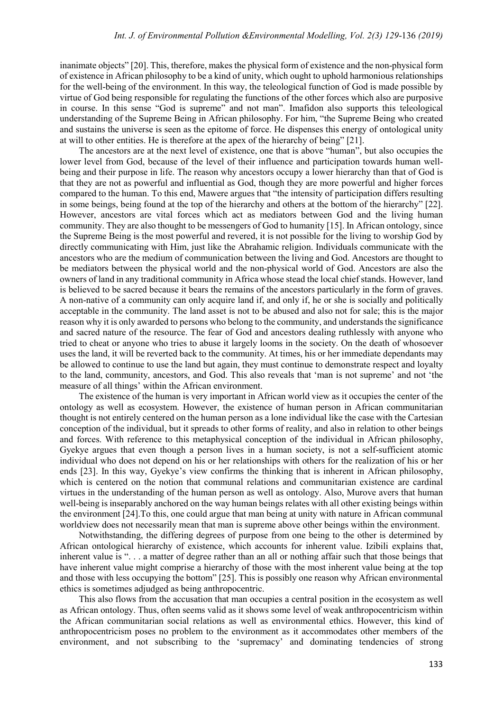inanimate objects" [20]. This, therefore, makes the physical form of existence and the non-physical form of existence in African philosophy to be a kind of unity, which ought to uphold harmonious relationships for the well-being of the environment. In this way, the teleological function of God is made possible by virtue of God being responsible for regulating the functions of the other forces which also are purposive in course. In this sense "God is supreme" and not man". Imafidon also supports this teleological understanding of the Supreme Being in African philosophy. For him, "the Supreme Being who created and sustains the universe is seen as the epitome of force. He dispenses this energy of ontological unity at will to other entities. He is therefore at the apex of the hierarchy of being" [21].

The ancestors are at the next level of existence, one that is above "human", but also occupies the lower level from God, because of the level of their influence and participation towards human wellbeing and their purpose in life. The reason why ancestors occupy a lower hierarchy than that of God is that they are not as powerful and influential as God, though they are more powerful and higher forces compared to the human. To this end, Mawere argues that "the intensity of participation differs resulting in some beings, being found at the top of the hierarchy and others at the bottom of the hierarchy" [22]. However, ancestors are vital forces which act as mediators between God and the living human community. They are also thought to be messengers of God to humanity [15]. In African ontology, since the Supreme Being is the most powerful and revered, it is not possible for the living to worship God by directly communicating with Him, just like the Abrahamic religion. Individuals communicate with the ancestors who are the medium of communication between the living and God. Ancestors are thought to be mediators between the physical world and the non-physical world of God. Ancestors are also the owners of land in any traditional community in Africa whose stead the local chief stands. However, land is believed to be sacred because it bears the remains of the ancestors particularly in the form of graves. A non-native of a community can only acquire land if, and only if, he or she is socially and politically acceptable in the community. The land asset is not to be abused and also not for sale; this is the major reason why it is only awarded to persons who belong to the community, and understands the significance and sacred nature of the resource. The fear of God and ancestors dealing ruthlessly with anyone who tried to cheat or anyone who tries to abuse it largely looms in the society. On the death of whosoever uses the land, it will be reverted back to the community. At times, his or her immediate dependants may be allowed to continue to use the land but again, they must continue to demonstrate respect and loyalty to the land, community, ancestors, and God. This also reveals that 'man is not supreme' and not 'the measure of all things' within the African environment.

The existence of the human is very important in African world view as it occupies the center of the ontology as well as ecosystem. However, the existence of human person in African communitarian thought is not entirely centered on the human person as a lone individual like the case with the Cartesian conception of the individual, but it spreads to other forms of reality, and also in relation to other beings and forces. With reference to this metaphysical conception of the individual in African philosophy, Gyekye argues that even though a person lives in a human society, is not a self-sufficient atomic individual who does not depend on his or her relationships with others for the realization of his or her ends [23]. In this way, Gyekye's view confirms the thinking that is inherent in African philosophy, which is centered on the notion that communal relations and communitarian existence are cardinal virtues in the understanding of the human person as well as ontology. Also, Murove avers that human well-being is inseparably anchored on the way human beings relates with all other existing beings within the environment [24].To this, one could argue that man being at unity with nature in African communal worldview does not necessarily mean that man is supreme above other beings within the environment.

Notwithstanding, the differing degrees of purpose from one being to the other is determined by African ontological hierarchy of existence, which accounts for inherent value. Izibili explains that, inherent value is ". . . a matter of degree rather than an all or nothing affair such that those beings that have inherent value might comprise a hierarchy of those with the most inherent value being at the top and those with less occupying the bottom" [25]. This is possibly one reason why African environmental ethics is sometimes adjudged as being anthropocentric.

This also flows from the accusation that man occupies a central position in the ecosystem as well as African ontology. Thus, often seems valid as it shows some level of weak anthropocentricism within the African communitarian social relations as well as environmental ethics. However, this kind of anthropocentricism poses no problem to the environment as it accommodates other members of the environment, and not subscribing to the 'supremacy' and dominating tendencies of strong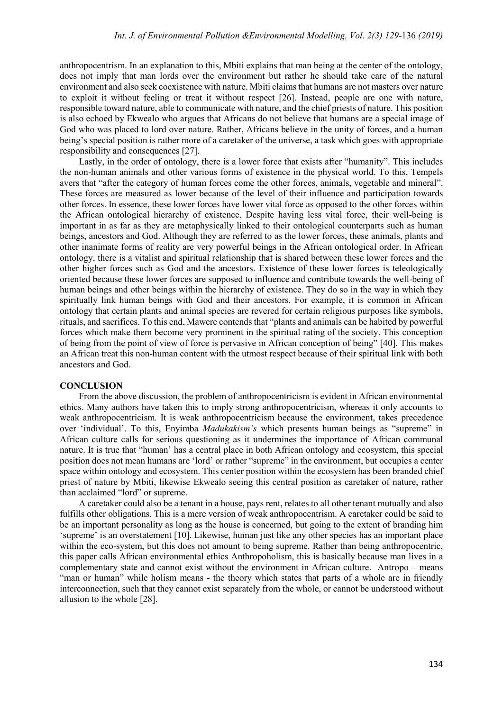anthropocentrism. In an explanation to this, Mbiti explains that man being at the center of the ontology, does not imply that man lords over the environment but rather he should take care of the natural environment and also seek coexistence with nature. Mbiti claims that humans are not masters over nature to exploit it without feeling or treat it without respect [26]. Instead, people are one with nature, responsible toward nature, able to communicate with nature, and the chief priests of nature. This position is also echoed by Ekwealo who argues that Africans do not believe that humans are a special image of God who was placed to lord over nature. Rather, Africans believe in the unity of forces, and a human being's special position is rather more of a caretaker of the universe, a task which goes with appropriate responsibility and consequences [27].

Lastly, in the order of ontology, there is a lower force that exists after "humanity". This includes the non-human animals and other various forms of existence in the physical world. To this, Tempels avers that "after the category of human forces come the other forces, animals, vegetable and mineral". These forces are measured as lower because of the level of their influence and participation towards other forces. In essence, these lower forces have lower vital force as opposed to the other forces within the African ontological hierarchy of existence. Despite having less vital force, their well-being is important in as far as they are metaphysically linked to their ontological counterparts such as human beings, ancestors and God. Although they are referred to as the lower forces, these animals, plants and other inanimate forms of reality are very powerful beings in the African ontological order. In African ontology, there is a vitalist and spiritual relationship that is shared between these lower forces and the other higher forces such as God and the ancestors. Existence of these lower forces is teleologically oriented because these lower forces are supposed to influence and contribute towards the well-being of human beings and other beings within the hierarchy of existence. They do so in the way in which they spiritually link human beings with God and their ancestors. For example, it is common in African ontology that certain plants and animal species are revered for certain religious purposes like symbols, rituals, and sacrifices. To this end, Mawere contends that "plants and animals can be habited by powerful forces which make them become very prominent in the spiritual rating of the society. This conception of being from the point of view of force is pervasive in African conception of being" [40]. This makes an African treat this non-human content with the utmost respect because of their spiritual link with both ancestors and God.

#### **CONCLUSION**

From the above discussion, the problem of anthropocentricism is evident in African environmental ethics. Many authors have taken this to imply strong anthropocentricism, whereas it only accounts to weak anthropocentricism. It is weak anthropocentricism because the environment, takes precedence over 'individual'. To this, Enyimba *Madukakism's* which presents human beings as "supreme" in African culture calls for serious questioning as it undermines the importance of African communal nature. It is true that "human' has a central place in both African ontology and ecosystem, this special position does not mean humans are 'lord' or rather "supreme" in the environment, but occupies a center space within ontology and ecosystem. This center position within the ecosystem has been branded chief priest of nature by Mbiti, likewise Ekwealo seeing this central position as caretaker of nature, rather than acclaimed "lord" or supreme.

A caretaker could also be a tenant in a house, pays rent, relates to all other tenant mutually and also fulfills other obligations. This is a mere version of weak anthropocentrism. A caretaker could be said to be an important personality as long as the house is concerned, but going to the extent of branding him 'supreme' is an overstatement [10]. Likewise, human just like any other species has an important place within the eco-system, but this does not amount to being supreme. Rather than being anthropocentric, this paper calls African environmental ethics Anthropoholism, this is basically because man lives in a complementary state and cannot exist without the environment in African culture. Antropo – means "man or human" while holism means - the theory which states that parts of a whole are in friendly interconnection, such that they cannot exist separately from the whole, or cannot be understood without allusion to the whole [28].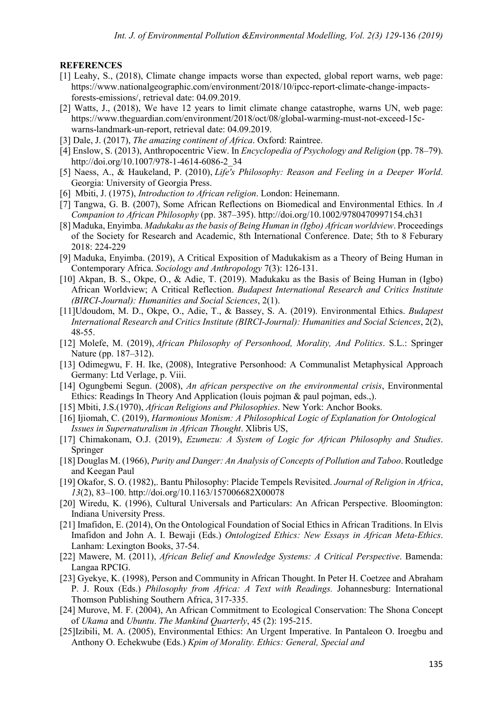### **REFERENCES**

- [1] Leahy, S., (2018), Climate change impacts worse than expected, global report warns, web page: [https://www.nationalgeographic.com/environment/2018/10/ipcc-report-climate-change-impacts](https://www.nationalgeographic.com/environment/2018/10/ipcc-report-climate-change-impacts-forests-emissions/)[forests-emissions/,](https://www.nationalgeographic.com/environment/2018/10/ipcc-report-climate-change-impacts-forests-emissions/) retrieval date: 04.09.2019.
- [2] Watts, J., (2018), We have 12 years to limit climate change catastrophe, warns UN, web page: [https://www.theguardian.com/environment/2018/oct/08/global-warming-must-not-exceed-15c](https://www.theguardian.com/environment/2018/oct/08/global-warming-must-not-exceed-15c-warns-landmark-un-report)[warns-landmark-un-report,](https://www.theguardian.com/environment/2018/oct/08/global-warming-must-not-exceed-15c-warns-landmark-un-report) retrieval date: 04.09.2019.
- [3] Dale, J. (2017), *The amazing continent of Africa*. Oxford: Raintree.
- [4] Enslow, S. (2013), Anthropocentric View. In *Encyclopedia of Psychology and Religion* (pp. 78–79). http://doi.org/10.1007/978-1-4614-6086-2\_34
- [5] Naess, A., & Haukeland, P. (2010), *Life's Philosophy: Reason and Feeling in a Deeper World*. Georgia: University of Georgia Press.
- [6] Mbiti, J. (1975), *Introduction to African religion*. London: Heinemann.
- [7] Tangwa, G. B. (2007), Some African Reflections on Biomedical and Environmental Ethics. In *A Companion to African Philosophy* (pp. 387–395). http://doi.org/10.1002/9780470997154.ch31
- [8] Maduka, Enyimba. *Madukaku as the basis of Being Human in (Igbo) African worldview*. Proceedings of the Society for Research and Academic, 8th International Conference. Date; 5th to 8 Feburary 2018: 224-229
- [9] Maduka, Enyimba. (2019), A Critical Exposition of Madukakism as a Theory of Being Human in Contemporary Africa. *Sociology and Anthropology* 7(3): 126-131.
- [10] Akpan, B. S., Okpe, O., & Adie, T. (2019). Madukaku as the Basis of Being Human in (Igbo) African Worldview; A Critical Reflection. *Budapest International Research and Critics Institute (BIRCI-Journal): Humanities and Social Sciences*, 2(1).
- [11]Udoudom, M. D., Okpe, O., Adie, T., & Bassey, S. A. (2019). Environmental Ethics. *Budapest International Research and Critics Institute (BIRCI-Journal): Humanities and Social Sciences*, 2(2), 48-55.
- [12] Molefe, M. (2019), *African Philosophy of Personhood, Morality, And Politics*. S.L.: Springer Nature (pp. 187–312).
- [13] Odimegwu, F. H. Ike, (2008), Integrative Personhood: A Communalist Metaphysical Approach Germany: Ltd Verlage, p. Viii.
- [14] Ogungbemi Segun. (2008), *An african perspective on the environmental crisis*, Environmental Ethics: Readings In Theory And Application (louis pojman & paul pojman, eds.,).
- [15] Mbiti, J.S.(1970), *African Religions and Philosophies*. New York: Anchor Books.
- [16] Ijiomah, C. (2019), *Harmonious Monism: A Philosophical Logic of Explanation for Ontological Issues in Supernaturalism in African Thought*. Xlibris US,
- [17] Chimakonam, O.J. (2019), *Ezumezu: A System of Logic for African Philosophy and Studies*. Springer
- [18] Douglas M. (1966), *Purity and Danger: An Analysis of Concepts of Pollution and Taboo*. Routledge and Keegan Paul
- [19] Okafor, S. O. (1982),. Bantu Philosophy: Placide Tempels Revisited. *Journal of Religion in Africa*, *13*(2), 83–100. http://doi.org/10.1163/157006682X00078
- [20] Wiredu, K. (1996), Cultural Universals and Particulars: An African Perspective. Bloomington: Indiana University Press.
- [21] Imafidon, E. (2014), On the Ontological Foundation of Social Ethics in African Traditions. In Elvis Imafidon and John A. I. Bewaji (Eds.) *Ontologized Ethics: New Essays in African Meta-Ethics*. Lanham: Lexington Books, 37-54.
- [22] Mawere, M. (2011), *African Belief and Knowledge Systems: A Critical Perspective*. Bamenda: Langaa RPCIG.
- [23] Gyekye, K. (1998), Person and Community in African Thought. In Peter H. Coetzee and Abraham P. J. Roux (Eds.) *Philosophy from Africa: A Text with Readings.* Johannesburg: International Thomson Publishing Southern Africa, 317-335.
- [24] Murove, M. F. (2004), An African Commitment to Ecological Conservation: The Shona Concept of *Ukama* and *Ubuntu*. *The Mankind Quarterly*, 45 (2): 195-215.
- [25]Izibili, M. A. (2005), Environmental Ethics: An Urgent Imperative. In Pantaleon O. Iroegbu and Anthony O. Echekwube (Eds.) *Kpim of Morality. Ethics: General, Special and*